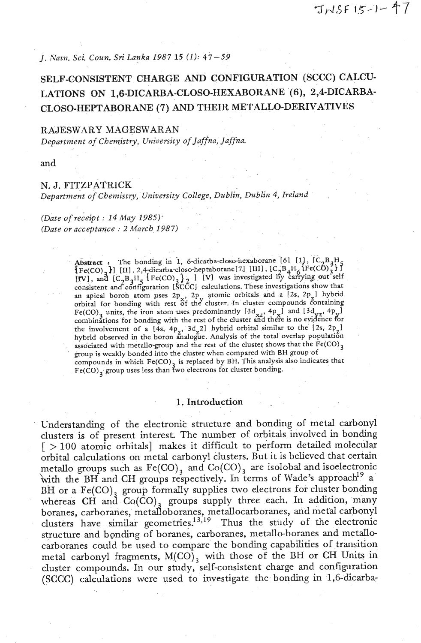*J. Nmn. Sci. Coun. Sri Lanka 1987 15 (1): 47-59* 

# **SELF-CONSISTENT CHARGE AND CONFIGURATION (SCCC) CALCU-LATIONS ON 1,6-DICARBA-CLOSO-HEXABORANE (6), 2,4-DICARBA-CLOSO-HEPTABORANE (7) AND THEIR METALLO-DERIVATIVES**

#### **RAJESWARY MAGESWARAN**

*Department of Chemistry, University of Jaffna, Jaffna.* 

and

### *N. J. FITZPATRICK*

*Department of Chemistry, University College, Dublin, Dublin 4, Ireland* 

*(Date of receipt* : *14 May 1985)- (Date or acceptauce* : *2 March 1987)* 

> **Abstract** : The bonding in 1, 6-dicarba-closo-hexaborane [6] [1],  $[C_2B_3H_5$ Abstract: The bonding in 1, 6-dicarba-closo-hexaboralle [0] [11], [C<sub>2</sub>B<sub>4</sub>H<sub>6</sub>}<br>[Fe(CO),  $\}$ ] [II]. 2,4-dicarba-closo-heptaborane[7] [III], [C<sub>2</sub>B<sub>4</sub>H<sub>6</sub>}[Fe(CO)<sub>3</sub>]  $[Fe(CO)_3 H$  [III], 2,4-dicarba-closo-heptaborane [7] [III],  $[CO)_4 H_G$  (Fe(CO)<sub>3</sub> ] [V] was investigated by carrying out self consistent and configuration *[SCCC]* calculations. These investigations show that in apical boroh atom uses  $2p_x$ ,  $2p_x$  atomic orbitals and a [2s,  $2p_y$ ] hybrid orbital for bonding with rest of the cluster. In cluster compounds containing Fe(CO)<sub>3</sub> units, the iron atom uses predominantly  $[3d_{xz}, 4p_x]$  and  $[3d_{yz}, 4p_y]$  combinations for bonding with the rest of the cluster and there is no evidence for the involvement of a  $[4s, 4p, 3d, 2]$  hybrid orbital similar to the  $[2s, 2p]$ hybrid observed in the boron analogue. Analysis of the total overlap population associated with metallo-group and the rest of the cluster shows that the  $Fe(CO)_{3}$ group is weakly bonded into the cluster when compared with BH group of compounds in which  $Fe(CO)$ <sub>2</sub> is replaced by BH. This analysis also indicates that Fe(CO)<sub>3</sub> group uses less than two electrons for cluster bonding.

### 1. Introduction

Understanding of the electronic structure and bonding of metal carbonyl clusters is of present interest. The number of orbitals invoIved in bonding [ > 100 atomic orbitals] makes it difficult to perform detailed molecular orbital calculations on metal carbonyl clusters. But it is believed that certain metallo groups such as  $Fe(CO)$ , and  $Co(CO)$ , are isolobal and isoelectronic with the BH and CH groups respectively. In terms of Wade's approach<sup>19</sup> a BH or a Fe(CO)<sub>3</sub> group formally supplies two electrons for cluster bonding whereas CH and  $Co(\overline{CO})$ <sub>3</sub> groups supply three each. In addition, many boranes, carboranes, metalloboranes, metallocarboranes, and metal carbonyl clusters have similar geometries.<sup>13,19</sup> Thus the study of the electronic structure and bgnding of boranes, carboranes, metallo-boranes and metallocarboranes cauld be used to compare the bonding capabilities of transition metal carbonyl fragments,  $M(CO)$ <sub>3</sub> with those of the BH or CH Units in cluster compounds. In our study, self-consistent charge and configuration (SCCC) calculations were used to investigate the bonding in 1,6-dicarba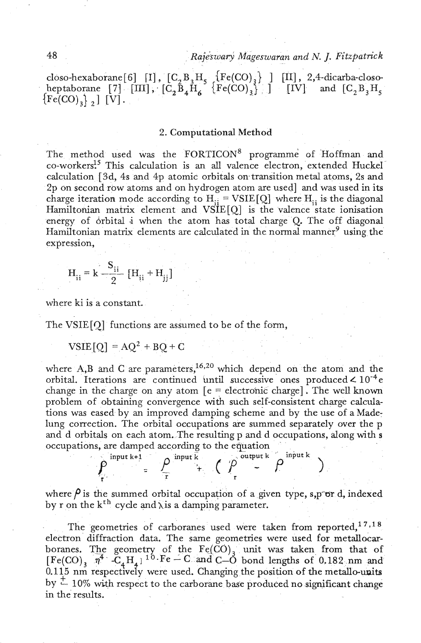**48** *~ajeswasj Mageswaran and N. J. Fitzpatrick* 

closo-hexaborane [6] [I],  $[C_2 B_3 H_5$   $[Fe(CO)_3]$  ] [II], 2,4-dicarba-closoheptaborane  $\begin{bmatrix} 7 \end{bmatrix}$   $\begin{bmatrix} \text{III} \end{bmatrix}$ ,  $\begin{bmatrix} C_2B_3H_5 \end{bmatrix}$   $\begin{bmatrix} \text{Fe(CO)}_3 \end{bmatrix}$ ,  $\begin{bmatrix} \text{IV} \end{bmatrix}$  and  $\begin{bmatrix} C_2B_3H_5 \end{bmatrix}$  ${[Fe({\rm CO})}_3$   $_2$  ]  ${[V]}$ 

#### 2. Computational Method

The method used was the FORTICON<sup>8</sup> programme of Hoffman and co- worker^?^ This calculation is an **all** valence electron, extended Huckel calculation [3d, 4s and **4p** atomic orbitals ontransition metal atoms, 2s and 2p on second row atoms and on hydrogen atom are used] and was used in its charge iteration mode according to  $H_{ii} = VSE[Q]$  where  $H_{ii}$  is the diagonal Hamiltonian matrix element and  $VSE[Q]$  is the valence state ionisation energy of orbital i when the atom has total charge Q. The off diagonal Hamiltonian matrix elements are calculated in the normal manner<sup>9</sup> using the expression,

$$
H_{ii} = k \frac{S_{ii}}{2} [H_{ii} + H_{jj}]
$$

where ki is a constant.

The VSIE [Q] functions are assumed to be of the form,

 $VSIE[O] = AO^2 + BO + C$ 

where A,B and C are parameters,<sup>16,20</sup> which depend on the atom and the orbital. Iterations are continued until successive ones produced  $\leq 10^{-4}$  e change in the charge on any atom  $\epsilon$  = electronic charge]. The well known problem of obtaining convergence with such self-consistent charge calculations was eased by an improved damping scheme and by the use of a Made: lung correction. The orbital occupations are summed separately over the p and d orbitals on each atom. The resulting p and d occupations, along with **<sup>s</sup>** occupations, are damped according to the equation

 $=\frac{\rho}{r} \frac{\text{input } \overline{k}}{r}$   $\left(\begin{array}{cc} \overline{\rho} & \text{output } k \\ r & r \end{array}\right)$ 

where  $\rho$  is the summed orbital occupation of a given type,  $s, p$  or  $d$ , indexed by r on the  $k^{th}$  cycle and  $\lambda$  is a damping parameter.

The geometries of carboranes used were taken from reported,  $17,18$ electron diffraction data. The same geometries were used for metallocarboranes. The geometry of the  $Fe(CO)_3$  unit was taken from that of  $[Fe(CO)_3 \overline{n^4} \cdot C_4 H_4]^{10} \cdot Fe - C$  and  $C-O$  bond lengths of 0.182 nm and 0.115 nm respectively were used. Changing the position of the metallo-units by  $\pm$  10% with respect to the carborane base produced no significant change in the results.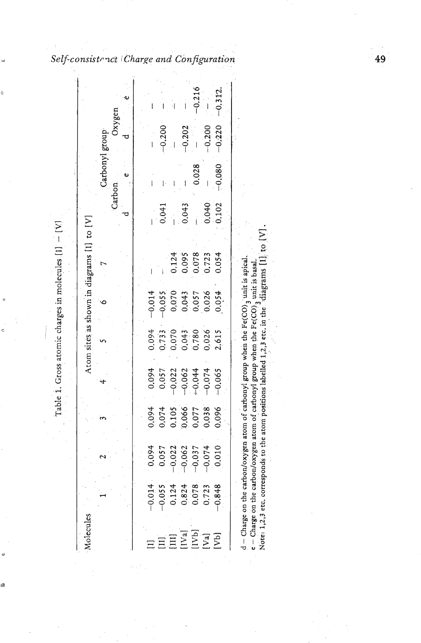| Molecules |                                     |          |                                                                 |                                  |                                                    |                                          | Atom sites as shown in diagrams [1] to [V] |                    |             |                          |          |
|-----------|-------------------------------------|----------|-----------------------------------------------------------------|----------------------------------|----------------------------------------------------|------------------------------------------|--------------------------------------------|--------------------|-------------|--------------------------|----------|
|           |                                     |          |                                                                 |                                  |                                                    |                                          |                                            |                    | U<br>Carbon | Oxygen<br>Carbonyl group | په       |
|           |                                     |          |                                                                 |                                  |                                                    |                                          |                                            |                    |             |                          |          |
|           | $-0.014$                            | 1,094    |                                                                 |                                  | 0.094                                              | $-0.014$                                 |                                            |                    |             |                          |          |
|           |                                     | 1.057    | 0.094<br>0.074                                                  | 0.057<br>0.057                   |                                                    | $-0.055$                                 |                                            | 0.041              |             | $-0.200$                 |          |
|           | $-0.055$<br>0.124<br>0.824<br>0.078 | 0.22     |                                                                 | $-0.022$                         |                                                    |                                          | 0.124                                      |                    |             |                          |          |
|           |                                     | $-0.062$ |                                                                 |                                  |                                                    |                                          | 0.095                                      | 0.043              |             | $-0.202$                 |          |
| [IVa]     |                                     | 1.037    | $\begin{array}{c} 0.105 \\ 0.066 \\ 0.077 \\ 0.038 \end{array}$ | $-0.062$<br>$-0.044$<br>$-0.074$ |                                                    |                                          |                                            |                    | 0.028       |                          | $-0.216$ |
| [Va]      | 0.723                               | 0.074    |                                                                 |                                  | 0.733<br>0.070<br>0.043<br>0.780<br>0.026<br>2.615 | $0.070$<br>$0.043$<br>$0.057$<br>$0.026$ | 0.078                                      |                    |             | $-0.200$                 |          |
| [Vb]      | $-0.848$                            | .010     | 0.096                                                           | $-0.065$                         |                                                    | 0.054                                    | 0.054                                      | $0.040$<br>$0.102$ | $-0.080$    | $-0.220$                 | $-0.312$ |

 $\frac{1}{\sqrt{2}}\left(\frac{1}{\sqrt{2}}\right)^2$ 

- -

 $\frac{1}{\alpha}$ 

ö

ø

ģ

*Consistenct*  $|Ch$ 

49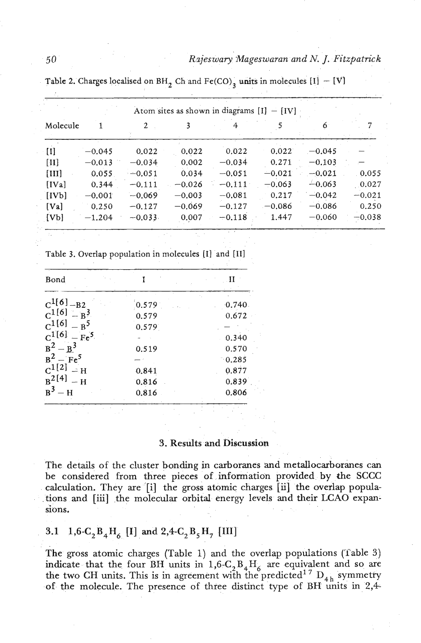### *R zjes wary Mageswaran and N. J. Fitzpatrick*

|          |          |          |          |          | Atom sites as shown in diagrams $[I] - [IV]$ |          |          |
|----------|----------|----------|----------|----------|----------------------------------------------|----------|----------|
| Molecule |          | 2        |          |          |                                              | 6        |          |
| $[1]$    | $-0.045$ | 0.022    | 0.022    | 0.022    | 0.022                                        | $-0.045$ |          |
| $[11]$   | $-0.013$ | $-0.034$ | 0.002    | $-0.034$ | 0.271                                        | $-0.103$ |          |
| [III]    | 0.055    | $-0.051$ | 0.034    | $-0.051$ | $-0.021$                                     | $-0.021$ | 0.055    |
| [IVa]    | 0.344    | $-0.111$ | $-0.026$ | $-0.111$ | $-0.063$                                     | $-0.063$ | 0.027    |
| [IVb]    | $-0.001$ | $-0.069$ | $-0.003$ | $-0.081$ | 0.217                                        | $-0.042$ | $-0.021$ |
| [Val]    | 0.250    | $-0.127$ | $-0.069$ | $-0.127$ | $-0.086$                                     | $-0.086$ | 0.250    |
| ${Vbl}$  | $-1.204$ | $-0.033$ | 0.007    | $-0.118$ | 1.447                                        | $-0.060$ | $-0.038$ |

**Table 2. Charges localised on BH<sub>2</sub>** Ch and Fe(CO)<sub>2</sub> **units in molecules** [I]  $-$  [V]

**Table 3. Overlap population in molecules** [I] **and [I11** 

| Bond                |       |                 |
|---------------------|-------|-----------------|
| $C^{1[6]} - B2$     | 0.579 | 0.740           |
| $C^{1[6]} - B^3$    | 0.579 | 0.672           |
| $C^{1[6]}$<br>$B^5$ | 0.579 |                 |
| $C^{1[6]} - Fe^{5}$ |       | 0.340           |
| $B^2 - B^3$         | 0.519 | 0.570           |
| $B^2 - Fe^5$        |       | $^{\circ}0.285$ |
| $C^{1[2]}$<br>$-H$  | 0.841 | 0.877           |
| $B^{2[4]}$<br>$-H$  | 0.816 | 0.839           |
| $B^3$<br>— H        | 0.816 | 0.806           |

### **3.** Results and Discussion

The details of the cluster bonding in carboranes and metallocarboranes can be considered from three pieces of information provided by the **SCCC**  calculation. They are [i] the gross atomic charges [ii] the overlap popula- . tions and [iii] the molecular orbital energy levels and their **LCAO** expansions.

**3.1** 1,6-C<sub>2</sub>B<sub>4</sub>H<sub>6</sub> [I] and 2,4-C<sub>2</sub>B<sub>5</sub>H<sub>7</sub> [III]

The gross atomic charges (Table **1)** and the overlap populations (Tiable **3)**  indicate that the four BH units in  $1,6-C, B_4H_6$  are equivalent and so are the two CH units. This is in agreement with the predicted<sup>17</sup>  $D_{4h}$  symmetry of **the** molecule. The presence of three distinct type of BH units in 2,4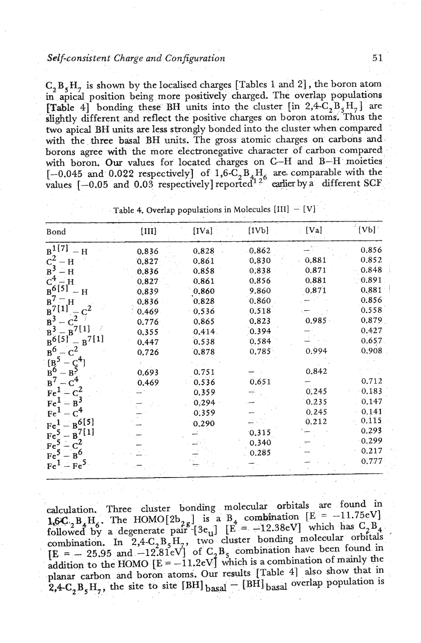### **Self-consistent Charge and Configuration**

 $C_2 B_5 H_7$  is shown by the localised charges [Tables 1 and 2], the boron atom in apical position being more positively charged. The overlap populations **[Table 4]** bonding these BH units into the cluster  $\left[ \text{in } 2,4 \text{-} C_2 \text{B}_5 \text{H}_7 \right]$  are slightly different and reflect the positive charges on boron atoms. Thus the two apical BH units ate less strongly bonded into the cluster when compared with the three basal BH units. The gross atomic charges on carbons and borons agree with the more electronegative character of carbon compared with boron. **Our** values for located charges on **C--H and** B-H moieties  $[-0.045$  and  $0.022$  respectively] of  $1.6 \text{--}C, B_4H_6$  are comparable with the values  $[-0.05$  and  $0.03$  respectively] reported<sup>12°</sup> earlier by a different SCF

| Bond                                   | $[III]$ | [IVa] | [1V <sub>b</sub> ] | [Va]<br>ò. | [Vb]  |
|----------------------------------------|---------|-------|--------------------|------------|-------|
| $B^{1[7]}$<br>$- H$                    | 0.836   | 0.828 | 0.862              |            | 0.856 |
| $c^2$<br>$- H$                         | 0.827   | 0.861 | 0.830              | 0.881      | 0.852 |
| $B^3$<br>– H                           | 0.836   | 0.858 | 0.838              | 0.871      | 0.848 |
| $C^4$<br>$-$ H.                        | 0.827   | 0.861 | 0.856              | 0.881      | 0.891 |
| $B^{6[5]}$<br>H                        | 0.839   | 0.860 | 9.860              | 0.871      | 0.881 |
| $B^7$<br>$\equiv$ H                    | 0.836   | 0.828 | 0.860              |            | 0.856 |
| $B^{7[1]}$                             | 0.469   | 0.536 | 0.518              |            | 0.558 |
| $B^3$                                  | 0.776   | 0.865 | 0.823              | 0.985      | 0.879 |
| $B^{7[1]}$<br>$B^3$                    | 0.355   | 0.414 | 0.394              |            | 0.427 |
| $B^{6[5]}$<br>$B^{7[1]}$               | 0.447   | 0.538 | 0.584              |            | 0.657 |
| $\mathbf{c}^2$<br>$B^6$                | 0.726   | 0.878 | 0.785              | 0.994      | 0.908 |
| $\frac{165}{B_0^6}$<br>$B_5^{C^{4_1}}$ |         |       |                    |            |       |
|                                        | 0.693   | 0.751 |                    | 0.842      |       |
| $B^7$                                  | 0.469   | 0.536 | 0.651              |            | 0.712 |
| $c^2$<br>Fe <sup>1</sup>               |         | 0.359 |                    | 0.245      | 0.183 |
| $-B^3$<br>Fe <sup>1</sup>              |         | 0.294 |                    | 0.235      | 0.147 |
| Fe <sup>1</sup><br>$\rm{c}^4$          |         | 0.359 |                    | 0.245      | 0.141 |
| $-R^{6[5]}$<br>Fe <sup>1</sup>         |         | 0.290 |                    | 0.212      | 0.115 |
| $B^{7[1]}$<br>Fe <sup>5</sup>          |         |       | 0,315              |            | 0.293 |
| $\cdot c^2$<br>Fe <sup>5</sup>         |         |       | 0.340              |            | 0.299 |
| $-B^6$                                 |         |       | 0.285              |            | 0.217 |
| Fe <sup>5</sup>                        |         |       |                    |            | 0.777 |
| $-Fe5$<br>Fe <sup>1</sup>              |         |       |                    |            |       |

Table 4. Overlap populations in Molecules  $[III] - [V]$ 

calculation. Three cluster bonding molecular orbitals are found in **LGC, B, H.**, The HOMO[2b<sub>2g</sub>] is a B<sub>4</sub> combination  $\begin{bmatrix} E = -11.75eV \end{bmatrix}$ followed by a degenerate pair  $[3e_{11}]$   $[E = -12.38eV]$  which has  $C_2B_4$ combination. In 2,4-C<sub>2</sub>B<sub>5</sub>H<sub>7</sub>, two cluster bonding molecular orbitals  $[E = -25.95 \text{ and } -12.81 \text{ eV}]$  of C<sub>2</sub>B<sub>5</sub> combination have been found in  $[E = -25.95$  and  $-12.81eV]$  of  $C_2B_5$  combination have been found in addition to the HOMO  $[E = -11.2eV]$  which is a combination of mainly the planar carbon and boron atoms. Our results [Table 4] also show that in  $2,4$ -C<sub>3</sub>B<sub>s</sub>H<sub>3</sub>, the site to site [BH] b<sub>asal</sub> - [BH] b<sub>asal</sub> overlap population is

 $51$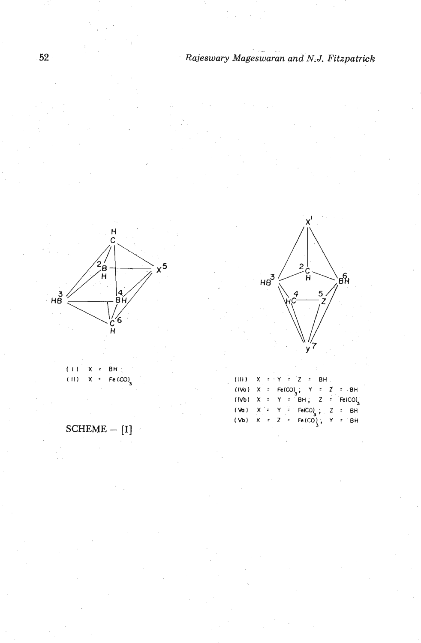

 $(1)$ 8H  $\ddot{\phantom{a}}$ x  $(11)$  $Fe (CO)$ 



 $\mathbf{c}$ 

4

 $HB<sup>3</sup>$ 

ċ<br>H

 $\overline{5}$ 

 $\theta$ 

**(Vb) X** - **Z Fe(CO1, Y** : **BH** 

SCHEME - **[I]**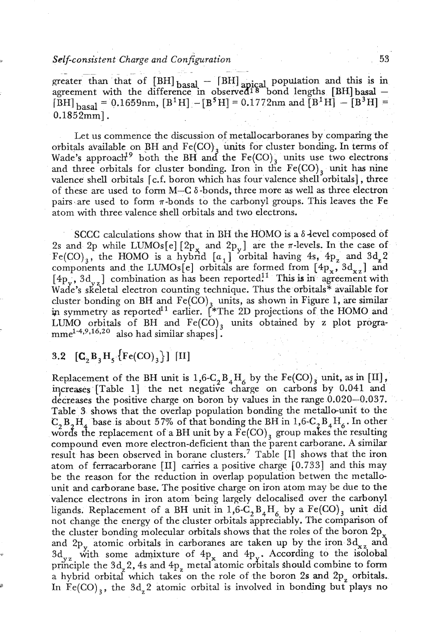### *Self-consistent Charge and Conjipration* 53 -

greater than that of  $[BH]_{\text{basal}} - [BH]_{\text{apical}}$  population and this is in greater than that of  $[BH]_{\text{basal}} - [BH]_{\text{apical}}$  population and this is in agreement with the difference in observed<sup>18</sup> bond lengths  $[BH]_{\text{basal}}$ agreement with the difference in observed<sup>18</sup> bond lengths [BH] basal -<br>[BH] <sub>basal</sub> = 0.1659nm, [B<sup>1</sup>H] - [B<sup>5</sup>H] = 0.1772nm and [B<sup>1</sup>H] - [B<sup>3</sup>H] =  $0.1852mm$ .

Let us commence the discussion of metallocarboranes by comparing the orbitals available on BH and  $Fe(CO)$ , units for cluster bonding. In terms of Wade's approach<sup>19</sup> both the BH and the  $Fe(CO)$ <sub>3</sub> units use two electrons and three orbitals for cluster bonding. Iron in the  $Fe(CO)$ , unit has nine valence shell orbitals [c.f. boron which has four valence shell orbitals], three of these are used to form M-C 6 -bonds, three more **as** well as three electron pairs are used to form  $\pi$ -bonds to the carbonyl groups. This leaves the Fe atom with three valence shell orbitals and two electrons.

SCCC calculations show that in BH the HOMO is a  $\delta$ -level composed of 2s and 2p while LUMOs[e]  $[2p_x$  and  $2p_y$ ] are the  $\pi$ -levels. In the case of  $Fe({\rm CO})_3$ , the HOMO is a hybrid  $[a_1]$  orbital having 4s, 4p<sub>z</sub> and 3d<sub>z</sub>2 components and the LUMOs[e] orbitals are formed from  $[4p_x, 3d_{xz}]$  and  $[4p_y, 3d_{yz}]$  combination as has been reported.<sup>11</sup> This is in agreement with Wade's skeletal electron counting technique. Thus the orbitals\* available for cluster bonding on BH and Fe(C0) units, **as** shown in Figure **1,** are similar in symmetry as reported<sup>11</sup> earlier. [\*The 2D projections of the HOMO and LUMO orbitals of BH and  $Fe(CO)$ , units obtained by z plot progra $mme^{1-4,9,16,20}$  also had similar shapes].

## **3.2**  $[{\bf C}_2 {\bf B}_3 {\bf H}_5 \{ {\rm Fe(CO)}_3 \}]$  [II]

Replacement of the BH unit is  $1,6\text{-}C_2B_4H_6$  by the Fe(CO)<sub>3</sub> unit, as in [II], **vases** [Table 11 the net negative charge on carbons by 0.041 and decreases the positive charge on boron by values in the range 0.020-0.037. Table **3** shows that the overlap population bonding the metallo-unit to the  $C_2 B_2 H_4$  base is about 57% of that bonding the BH in 1,6-C,  $B_4H_6$ . In other words the replacement of a BH unit by a  $\tilde{Fe(CO)}$ <sub>3</sub> group makes the resulting compound even more electron-deficient than the parent carborane. **A** similar result has been observed in borane clusters.<sup>7</sup> Table  $[I]$  shows that the iron atom of ferracarborane  $\text{[II]}$  carries a positive charge  $\text{[0.733]}$  and this may be the reason for the reduction in overlap population betwen the metallounit and carborane base. The positive charge on iron atom may be due to the valence electrons in iron atom being largely delocalised over the carbonyl ligands. Replacement of a BH unit in  $1,6\text{-}C_2B_4H_6$  by a  $\text{Fe(CO)}_3$  unit did not change the energy of the cluster orbitals appreciably. The comparison of the cluster bonding molecular orbitals shows that the roles of the boron  $2p_x$ and  $2p_y$  atomic orbitals in carboranes are taken up by the iron  $3d_{xz}$  and <sup>3</sup> 3d<sub>yz</sub> with some admixture of  $4p_x$  and  $4p_y$ . According to the isolobal principle the  $3d<sub>z</sub>2$ , 4s and  $4p<sub>z</sub>$  metal atomic orbitals should combine to form a hybrid orbital which takes on the role of the boron 2s and 2p<sub>z</sub> orbitals. In  $Fe(CO)$ <sub>3</sub>, the 3d<sub>2</sub>2 atomic orbital is involved in bonding but plays no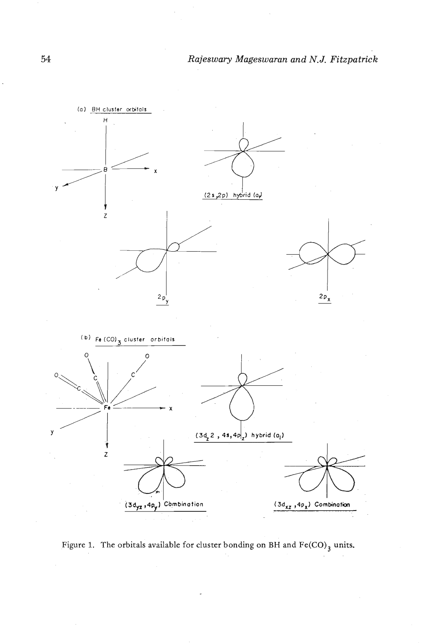

Figure 1. The orbitals available for cluster bonding on BH and  $\text{Fe(CO)}_3$  units.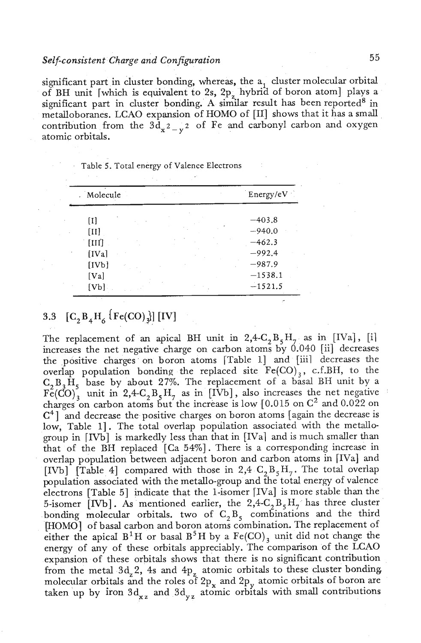### *Self-consistent Charge and Configuration* **5** *5*

ignificant part in cluster bonding, whereas, the  $a_1$  cluster molecular orbital of BH unit [which is equivalent to 2s, 2p<sub>.</sub> hybrid of boron atom] plays a significant part in cluster bonding. A similar result has been reported<sup>8</sup> in metalloboranes. LCAO expansion of HOMO of [II] shows that it has a small contribution from the  $3d_{x^2-y^2}$  of Fe and carbonyl carbon and oxygen atomic orbitals.

| Table 5. Total energy of Valence Electrons |  |
|--------------------------------------------|--|
|--------------------------------------------|--|

| . Molecule                 | Energy/eV |
|----------------------------|-----------|
| $\lceil \mathbf{I} \rceil$ | $-403.8$  |
| [II]                       | $-940.0$  |
| [III]                      | $-462.3$  |
| [IVa]                      | $-992.4$  |
| [IVb]                      | $-987.9$  |
| [Val]                      | $-1538.1$ |
| [Vb]                       | $-1521.5$ |

# 3.3  $\begin{bmatrix} C_2 B_4 H_6 \end{bmatrix}$  [Fe(CO)  $_{3}$ ] [IV]

The replacement of an apical BH unit in  $2,4-C, B, H<sub>7</sub>$  as in [IVa], [i] increases the net negative charge on carbon atoms by 0.040 [ii] decreases the positive charges on boron atoms [Table 11 and [iiil decreases the overlap population bonding the replaced site  $Fe(CO)$ , c.f.BH, to the  $C_2 B_3 H_5$  base by about 27%. The replacement of a basal BH unit by a  $F\tilde{e}(CO)^2$  unit in 2,4-C<sub>2</sub> B<sub>5</sub>H<sub>7</sub> as in [IVb], also increases the net negative charges on carbon atoms but the increase is low  $[0.015$  on  $C^2$  and  $0.022$  on  $C<sup>4</sup>$  and decrease the positive charges on boron atoms [again the decrease is low, Table 1]. The total overlap population associated with the metallogroup in [IVb] is markedly less than that in [IVa] and is much smaller than that of the BII replaced [Ca 54%]. There is a corresponding increase in overlap population between adjacent boron and carbon atoms in [IVa] and [IVb] [Table 4] compared with those in 2,4  $C_2B_5H_7$ . The total overlap population associated with the metallo-group and the total energy of valence electrons [Table 51 indicate that the l-isomer [IVa] is more stable than the 5-isomer [IVb]. As mentioned earlier, the  $2,4-C_2B_5H_7$  has three cluster bonding molecular orbitals. two of  $C_2B_5$  combinations and the third [HOMO] of basal carbon and boron atoms combination. The replacement of either the apical  $B^1H$  or basal  $B^5H$  by a  $Fe(CO)$ <sub>3</sub> unit did not change the energy of any of these orbitals appreciably. The comparison of the LCAO expansion of these orbitals shows that there is no significant contribution from the metal  $3d_2$ , 4s and  $4p_2$  atomic orbitals to these cluster bonding. molecular orbitals and the roles of 2p<sub>y</sub> and 2p<sub>y</sub> atomic orbitals of boron are taken up by iron  $3d_{xx}$  and  $3d_{yy}$  atomic orbitals with small contributions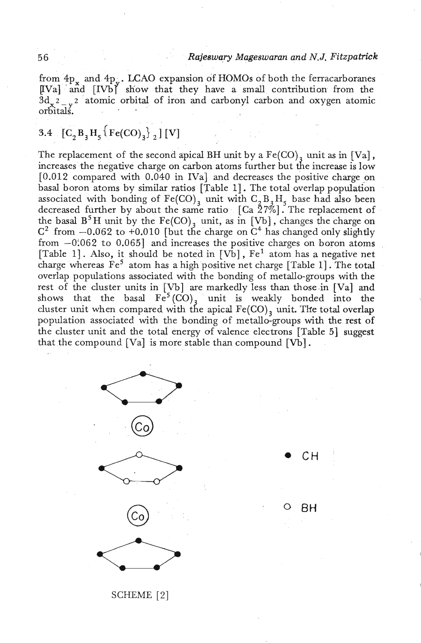### 5 6 *Rajeswary Mageswaran and N.J. Fitzpatrick*

from  $4p_x$  and  $4p_y$ . LCAO expansion of HOMOs of both the ferracarboranes  $[IVa]$  and  $[IVb]$  show that they have a small contribution from the  $3d_x^2$ <sub>x</sub><sup>2</sup> atomic orbital of iron and carbonyl carbon and oxygen atomic orbitals. . .

# 3.4  $[C_2 B_3 H_5 \{Fe(CO)_3\}^2$  [V]

The replacement of the second apical BH unit by a  $Fe(CO)$ , unit as in [Va], increases the negative charge on carbon atoms further but the increase is low [0.012 compared with 0.040 in IVa] **and** decreases the positive charge on basal boron atoms by similar ratios [Table I]. The total overlap population associated with bonding of  $Fe(CO)_3$  unit with  $C_2B_3H_5$  base had also been decreased further by about the same ratio  $\left[$  Ca  $\tilde{2}7\% \right]$  . The replacement of the basal  $B^5H$  unit by the Fe(CO), unit, as in [Vb], changes the charge on  $C^2$  from  $-0.062$  to  $+0.010$  [but the charge on  $C^4$  has changed only slightly from  $-0.062$  to 0.065] and increases the positive charges on boron atoms [Table 1]. Also, it should be noted in  $[Vb]$ ,  $Fe<sup>1</sup>$  atom has a negative net charge whereas  $Fe<sup>5</sup>$  atom has a high positive net charge [Table 1]. The total overlap populations associated with the bonding of metallo-groups with the rest of the cluster units in [Vb] are markedly less than those.in [Val **and**  shows that the basal  $Fe^5(CO)_3$  unit is weakly bonded into the cluster unit when compared with the apical  $Fe(CO)$ , unit. The total overlap population associated with the bonding of metallo-groups with the rest of the cluster unit and the total energy of valence electrons [Table 51 suggest that the compound [Val is more stable than compound [Vb] .



CН

BН

SCHEME [Z]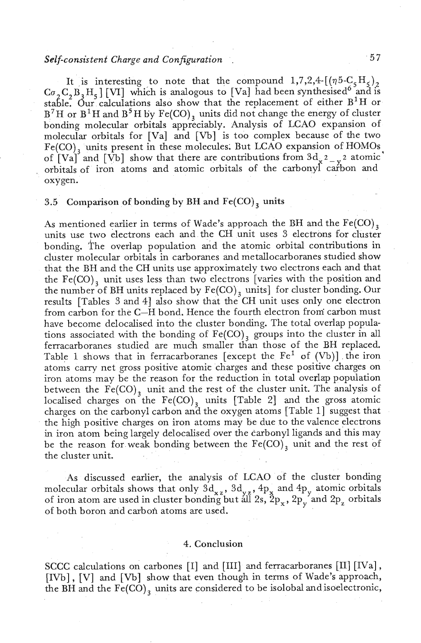### **Self-consistent** *Charge and Configuration*

It is interesting to note that the compound  $1,7,2,4$ - $[(\eta 5-C_5H_5)_2$  $Co_2C_2B_3H_5$  [VI] which is analogous to [Va] had been synthesised<sup>6</sup> and is stahe. dur calculations also show that the replacement of either B'H or  $B^7H$  or  $B^1H$  and  $B^5H$  by  $Fe(CO)_3$  units did not change the energy of cluster bonding molecular orbitals appreciably. Analysis of LCAO expansion of molecular orbitals for [Val and [Vb] is too complex because of the two  $Fe(CO)$ <sub>2</sub> units present in these molecules. But LCAO expansion of HOMOs of  $\left[\text{Va}\right]$  and  $\left[\text{Vb}\right]$  show that there are contributions from  $3d_{\gamma^2-y^2}$  atomic orbitals of iron atoms and atomic orbitals of the carbonyl carbon and oxygen.

### 3.5 Comparison of bonding by BH and  $Fe(CO)$ <sub>3</sub> units

As mentioned earlier in terms of Wade's approach the BH and the  $Fe(CO)_{3}$ units use two electrons each and the CH unit uses **3** electrons for cluster bonding. The overlap population and the atomic orbital contributions in cluster molecular orbitals in carboranes and metallocarboranes studied show that the BH and the CH units use approximately two electrons each and that the  $Fe(CO)$ <sub>2</sub> unit uses less than two electrons [varies with the position and the number of BH units replaced by  $Fe(CO)$ <sub>3</sub> units] for cluster bonding. Our results [Tables 3 and 41 also show that the CH unit uses only one electron from carbon for the C-H bond. Hence the fourth electron froni carbon must have become delocalised into the cluster bonding. The total overlap populations associated with the bonding of  $Fe(CO)$ , groups into the cluster in all ferracarboranes studied are mudh smaller than those of the BH replaced. Table 1 shows that in ferracarboranes [except the  $Fe<sup>1</sup>$  of (Vb)] the iron atoms cany net gross positive atomic charges and these positive charges on iron atoms may be the reason for the reduction in total overlap population between the  $Fe(CO)$ <sub>3</sub> unit and the rest of the cluster unit. The analysis of localised charges on the  $Fe(CO)$ <sub>3</sub> units [Table 2] and the gross atomic charges on the carbonyl carbon and the oxygen atoms [Table I] suggest that the high positive charges on iron atoms may be due to the valence electrons in iron atom being largely delocalised over the carbonyl ligands and this may be the reason for weak bonding between the  $Fe(CO)$ <sub>3</sub> unit and the rest of the cluster unit.

As discussed earlier, the analysis of LCAO of the cluster bonding molecular orbitals shows that only  $3d_{xz}$ ,  $3d_{yz}$ ,  $4p_x$  and  $4p_y$  atomic orbitals of iron atom are used in cluster bonding but all 2s,  $2p_x$ ,  $2p_y$  and  $2p_z$  orbitals *<sup>Y</sup>*of both boron and carbon atoms are used.

### 4. Conclusion

SCCC calculations on carbones [I] and [III] and ferracarboranes [II] [IVa], [IVb], [V] and [Vb] show that even though in terms of Wade's approach, the BH and the  $Fe(CO)$ , units are considered to be isolobal and isoelectronic,

 $57$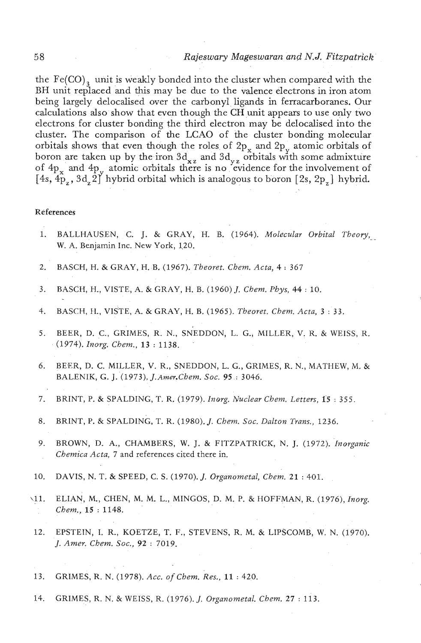the  $Fe(CO)$ <sub>2</sub> unit is weakly bonded into the cluster when compared with the BH unit replaced and this may be due to the valence electrons in iron atom being largely delocalised over the carbonyl ligands in ferracarboranes. Our calculations also show that even though the CH unit appears to use only two electrons for cluster bonding the third electron may be delocalised into the cluster. The comparison of the LCAO of the cluster bonding molecular orbitals shows that even though the roles of  $2p_x$  and  $2p_y$  atomic orbitals of boron are taken up by the iron  $3d_{xz}$  and  $3d_{yz}$  orbitals with some admixture of  $4p_x$  and  $4p_y$  atomic orbitals there is no evidence for the involvement of  $[4s, 4\hat{p}_7, 3d, 2\hat{p}]$  hybrid orbital which is analogous to boron  $[2s, 2p_z]$  hybrid.

#### **References**

- 1. BALLHAUSEN, C. J. & GRAY, H. B. (1964). *Molecular Orbital Theory,*  . W. A. Benjamin Inc. New York, 120.
- 2. BASCH, H. & GRAY, H. B. (1967). *Tbeoret. Chem. Acta, 4* : <sup>367</sup>
- 3. BASCH, H., VISTE, A. & GRAY, H. B. (1960) J. *Chem. Phys, 44* : 10.
- 4. BASCH, **II.,** VISTE, A. & GRAY, H. B. (1965). *Theoret. Chem. Acta,* 3 : 33.
- 5. BEER, D. c., GRIMES, R. N., SNEDDON, L. G., MILLER, V. R. & WEISS, R. (1974). *Inorg. Cbem.,* 13 : 1138.
- *6.* BEER, D. C. MILLER, V. R., SNEDDON, L. G., GRIMES, R. N., MATHEW, M. & BALENIK, G. J. (1973). *J. Amer. Chem. Soc.* 95 : 3046.
- **7. BRINT, P. & SPALDING, T. R. (1979).** *Inorg. Nuclear Chem. Letters***, 15:355.**
- 8. BRINT, P. & SPALDING, T. R. (1980). J. *Chem. Soc. Dalton Trans.,* 1236.
- 9. BROWN, D. A., CHAMBERS, W. J. & FITZPATRICK, N. J. (1972). *'inorganic Chemica Acta,* 7 and references cited there in.
- 10. DAVIS, N. T. & SPEED, C. S. (1970). *J. Organometal, Chem.* **21** : 401'.
- \11. ELIAN, M., @HEN, M. M. L., MINGOS, D. M. P. &HOFFMAN, R. (1976), *Inorg. Chem.,* **15** : 1148.
- 12. EPSTEIN, I. R., KOETZE, T. F., STEVENS, R. M. & LIPSCOMB, W. N. (1970). J. *Amer. Chem. Soc., 92* : 7019.
- 13. GRIMES, R. N. (1978). *Acc. of Chem. Res., 11* : 420.
- 14. GRIMES, R. N. & WEISS, R. (1976). J. *Organometal. Chem.* **27** : 113.